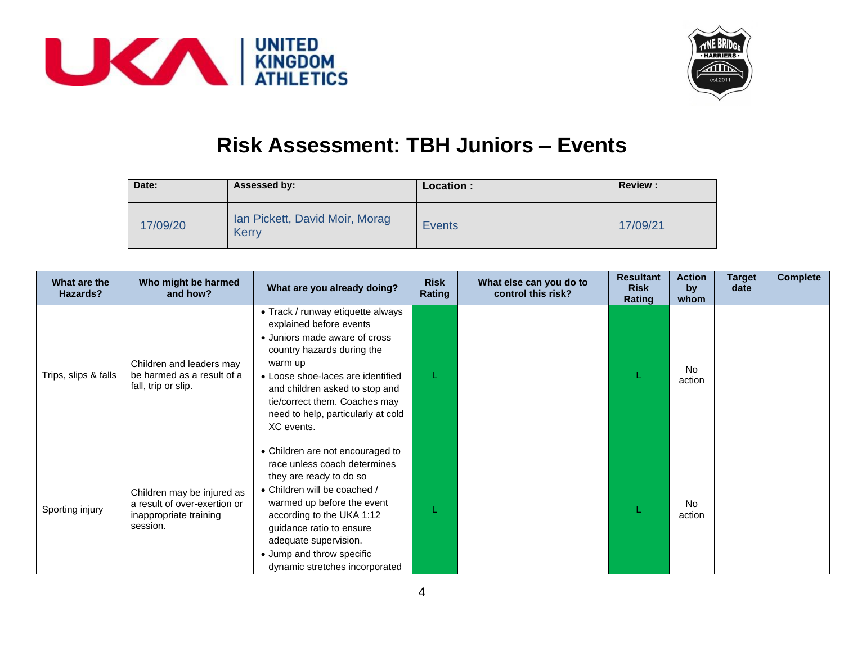



## **Risk Assessment: TBH Juniors – Events**

| Date:    | Assessed by:                                   | Location :    | <b>Review:</b> |
|----------|------------------------------------------------|---------------|----------------|
| 17/09/20 | Ian Pickett, David Moir, Morag<br><b>Kerry</b> | <b>Events</b> | 17/09/21       |

| What are the<br>Hazards? | Who might be harmed<br>and how?                                                                  | What are you already doing?                                                                                                                                                                                                                                                                                | <b>Risk</b><br>Rating | What else can you do to<br>control this risk? | <b>Resultant</b><br><b>Risk</b><br>Rating | <b>Action</b><br>by<br>whom | Target<br>date | <b>Complete</b> |
|--------------------------|--------------------------------------------------------------------------------------------------|------------------------------------------------------------------------------------------------------------------------------------------------------------------------------------------------------------------------------------------------------------------------------------------------------------|-----------------------|-----------------------------------------------|-------------------------------------------|-----------------------------|----------------|-----------------|
| Trips, slips & falls     | Children and leaders may<br>be harmed as a result of a<br>fall, trip or slip.                    | • Track / runway etiquette always<br>explained before events<br>• Juniors made aware of cross<br>country hazards during the<br>warm up<br>• Loose shoe-laces are identified<br>and children asked to stop and<br>tie/correct them. Coaches may<br>need to help, particularly at cold<br>XC events.         |                       |                                               |                                           | No.<br>action               |                |                 |
| Sporting injury          | Children may be injured as<br>a result of over-exertion or<br>inappropriate training<br>session. | • Children are not encouraged to<br>race unless coach determines<br>they are ready to do so<br>• Children will be coached /<br>warmed up before the event<br>according to the UKA 1:12<br>guidance ratio to ensure<br>adequate supervision.<br>• Jump and throw specific<br>dynamic stretches incorporated |                       |                                               |                                           | <b>No</b><br>action         |                |                 |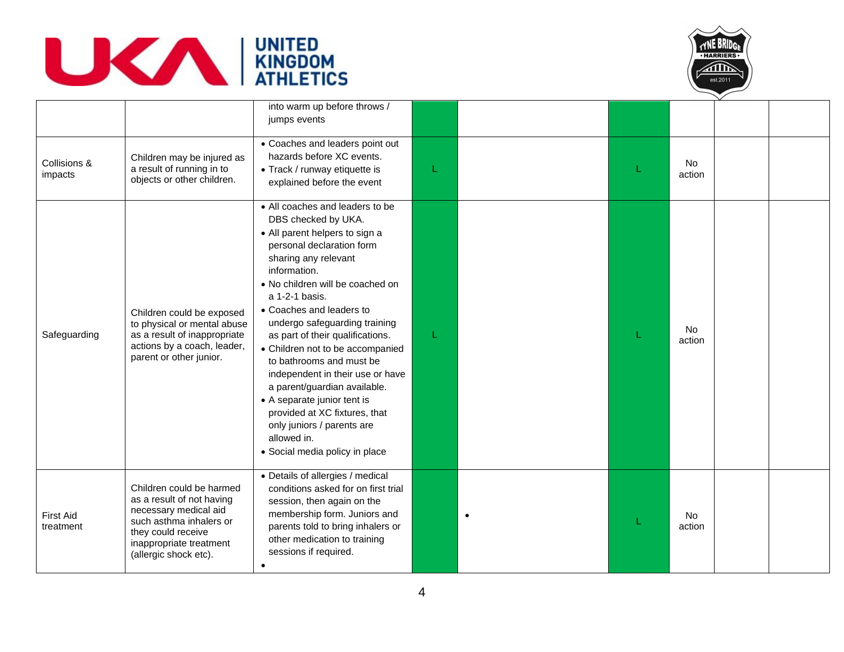



|                               |                                                                                                                                                                                     | into warm up before throws /<br>jumps events                                                                                                                                                                                                                                                                                                                                                                                                                                                                                                                                                            |    |           |                     |  |
|-------------------------------|-------------------------------------------------------------------------------------------------------------------------------------------------------------------------------------|---------------------------------------------------------------------------------------------------------------------------------------------------------------------------------------------------------------------------------------------------------------------------------------------------------------------------------------------------------------------------------------------------------------------------------------------------------------------------------------------------------------------------------------------------------------------------------------------------------|----|-----------|---------------------|--|
| Collisions &<br>impacts       | Children may be injured as<br>a result of running in to<br>objects or other children.                                                                                               | • Coaches and leaders point out<br>hazards before XC events.<br>• Track / runway etiquette is<br>explained before the event                                                                                                                                                                                                                                                                                                                                                                                                                                                                             | L  |           | No<br>action        |  |
| Safeguarding                  | Children could be exposed<br>to physical or mental abuse<br>as a result of inappropriate<br>actions by a coach, leader,<br>parent or other junior.                                  | • All coaches and leaders to be<br>DBS checked by UKA.<br>• All parent helpers to sign a<br>personal declaration form<br>sharing any relevant<br>information.<br>• No children will be coached on<br>a 1-2-1 basis.<br>• Coaches and leaders to<br>undergo safeguarding training<br>as part of their qualifications.<br>• Children not to be accompanied<br>to bathrooms and must be<br>independent in their use or have<br>a parent/guardian available.<br>• A separate junior tent is<br>provided at XC fixtures, that<br>only juniors / parents are<br>allowed in.<br>· Social media policy in place | T. |           | No<br>action        |  |
| <b>First Aid</b><br>treatment | Children could be harmed<br>as a result of not having<br>necessary medical aid<br>such asthma inhalers or<br>they could receive<br>inappropriate treatment<br>(allergic shock etc). | • Details of allergies / medical<br>conditions asked for on first trial<br>session, then again on the<br>membership form. Juniors and<br>parents told to bring inhalers or<br>other medication to training<br>sessions if required.<br>$\bullet$                                                                                                                                                                                                                                                                                                                                                        |    | $\bullet$ | <b>No</b><br>action |  |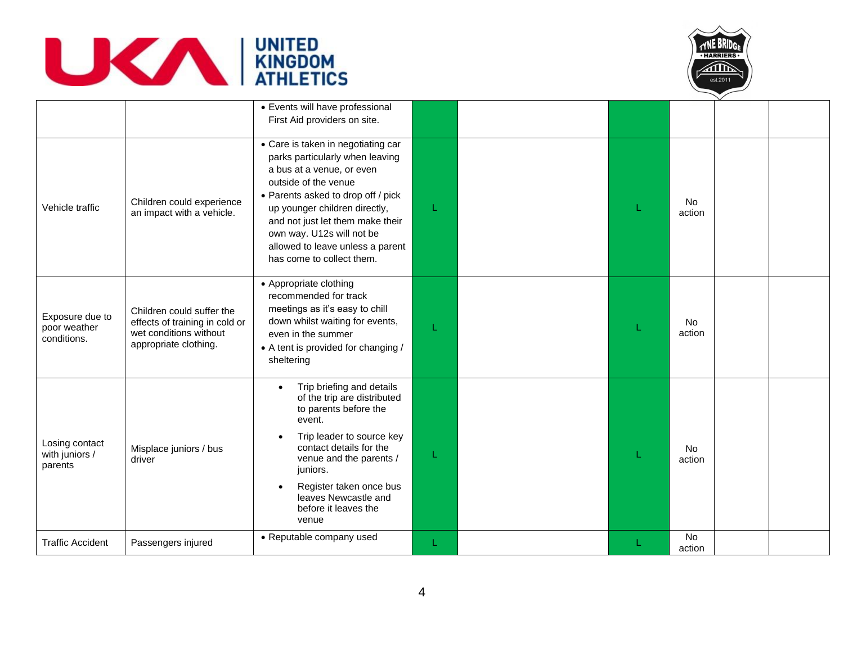



|                                                |                                                                                                                | • Events will have professional<br>First Aid providers on site.                                                                                                                                                                                                                                                                     |   |  |                     |  |
|------------------------------------------------|----------------------------------------------------------------------------------------------------------------|-------------------------------------------------------------------------------------------------------------------------------------------------------------------------------------------------------------------------------------------------------------------------------------------------------------------------------------|---|--|---------------------|--|
| Vehicle traffic                                | Children could experience<br>an impact with a vehicle.                                                         | • Care is taken in negotiating car<br>parks particularly when leaving<br>a bus at a venue, or even<br>outside of the venue<br>• Parents asked to drop off / pick<br>up younger children directly,<br>and not just let them make their<br>own way. U12s will not be<br>allowed to leave unless a parent<br>has come to collect them. | L |  | <b>No</b><br>action |  |
| Exposure due to<br>poor weather<br>conditions. | Children could suffer the<br>effects of training in cold or<br>wet conditions without<br>appropriate clothing. | • Appropriate clothing<br>recommended for track<br>meetings as it's easy to chill<br>down whilst waiting for events,<br>even in the summer<br>• A tent is provided for changing /<br>sheltering                                                                                                                                     |   |  | <b>No</b><br>action |  |
| Losing contact<br>with juniors /<br>parents    | Misplace juniors / bus<br>driver                                                                               | Trip briefing and details<br>$\bullet$<br>of the trip are distributed<br>to parents before the<br>event.<br>Trip leader to source key<br>contact details for the<br>venue and the parents /<br>juniors.<br>Register taken once bus<br>leaves Newcastle and<br>before it leaves the<br>venue                                         | L |  | No<br>action        |  |
| <b>Traffic Accident</b>                        | Passengers injured                                                                                             | • Reputable company used                                                                                                                                                                                                                                                                                                            | L |  | No<br>action        |  |